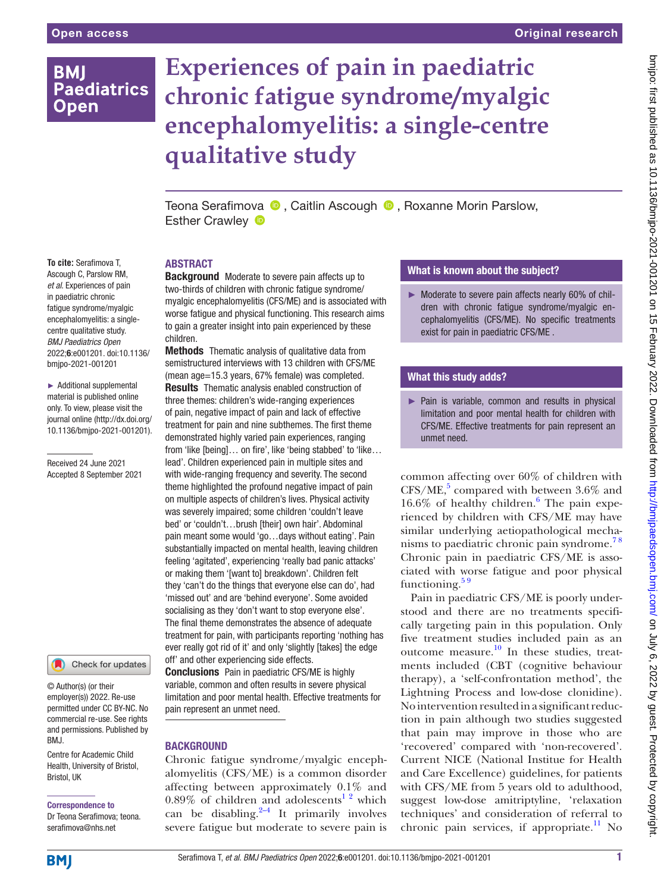## **BMI Paediatrics Open**

# **Experiences of pain in paediatric chronic fatigue syndrome/myalgic encephalomyelitis: a single-centre qualitative study**

Teona Serafimova **D**, Caitlin Ascough **D**, Roxanne Morin Parslow, EstherCrawley **D** 

#### **To cite:** Serafimova T, Ascough C, Parslow RM, *et al*. Experiences of pain in paediatric chronic fatigue syndrome/myalgic encephalomyelitis: a singlecentre qualitative study. *BMJ Paediatrics Open* 2022;6:e001201. doi:10.1136/ bmjpo-2021-001201

► Additional supplemental material is published online only. To view, please visit the journal online ([http://dx.doi.org/](http://dx.doi.org/10.1136/bmjpo-2021-001201) [10.1136/bmjpo-2021-001201\)](http://dx.doi.org/10.1136/bmjpo-2021-001201).

Received 24 June 2021 Accepted 8 September 2021



© Author(s) (or their employer(s)) 2022. Re-use permitted under CC BY-NC. No commercial re-use. See rights and permissions. Published by BMJ.

Centre for Academic Child Health, University of Bristol, Bristol, UK

## Correspondence to

Dr Teona Serafimova; teona. serafimova@nhs.net

## ABSTRACT

**Background** Moderate to severe pain affects up to two-thirds of children with chronic fatigue syndrome/ myalgic encephalomyelitis (CFS/ME) and is associated with worse fatigue and physical functioning. This research aims to gain a greater insight into pain experienced by these children.

**Methods** Thematic analysis of qualitative data from semistructured interviews with 13 children with CFS/ME (mean age=15.3 years, 67% female) was completed. **Results** Thematic analysis enabled construction of three themes: children's wide-ranging experiences of pain, negative impact of pain and lack of effective treatment for pain and nine subthemes. The first theme demonstrated highly varied pain experiences, ranging from 'like [being]... on fire', like 'being stabbed' to 'like... lead'. Children experienced pain in multiple sites and with wide-ranging frequency and severity. The second theme highlighted the profound negative impact of pain on multiple aspects of children's lives. Physical activity was severely impaired; some children 'couldn't leave bed' or 'couldn't…brush [their] own hair'. Abdominal pain meant some would 'go…days without eating'. Pain substantially impacted on mental health, leaving children feeling 'agitated', experiencing 'really bad panic attacks' or making them '[want to] breakdown'. Children felt they 'can't do the things that everyone else can do', had 'missed out' and are 'behind everyone'. Some avoided socialising as they 'don't want to stop everyone else'. The final theme demonstrates the absence of adequate treatment for pain, with participants reporting 'nothing has ever really got rid of it' and only 'slightly [takes] the edge off' and other experiencing side effects. Conclusions Pain in paediatric CFS/ME is highly

variable, common and often results in severe physical limitation and poor mental health. Effective treatments for pain represent an unmet need.

## **BACKGROUND**

Chronic fatigue syndrome/myalgic encephalomyelitis (CFS/ME) is a common disorder affecting between approximately 0.1% and  $0.89\%$  of children and adolescents<sup>1</sup><sup>2</sup> which can be disabling. $2-4$  It primarily involves severe fatigue but moderate to severe pain is

## What is known about the subject?

► Moderate to severe pain affects nearly 60% of children with chronic fatigue syndrome/myalgic encephalomyelitis (CFS/ME). No specific treatments exist for pain in paediatric CFS/ME .

## What this study adds?

► Pain is variable, common and results in physical limitation and poor mental health for children with CFS/ME. Effective treatments for pain represent an unmet need.

common affecting over 60% of children with  $CFS/ME$ ,<sup>[5](#page-7-0)</sup> compared with between 3.6% and  $16.6\%$  $16.6\%$  $16.6\%$  of healthy children. $6$  The pain experienced by children with CFS/ME may have similar underlying aetiopathological mechanisms to paediatric chronic pain syndrome.<sup>78</sup> Chronic pain in paediatric CFS/ME is associated with worse fatigue and poor physical functioning. $59$ 

Pain in paediatric CFS/ME is poorly understood and there are no treatments specifically targeting pain in this population. Only five treatment studies included pain as an outcome measure. $\frac{10}{10}$  In these studies, treatments included (CBT (cognitive behaviour therapy), a 'self-confrontation method', the Lightning Process and low-dose clonidine). No intervention resulted in a significant reduction in pain although two studies suggested that pain may improve in those who are 'recovered' compared with 'non-recovered'. Current NICE (National Institue for Health and Care Excellence) guidelines, for patients with CFS/ME from 5 years old to adulthood, suggest low-dose amitriptyline, 'relaxation techniques' and consideration of referral to chronic pain services, if appropriate.<sup>[11](#page-7-4)</sup> No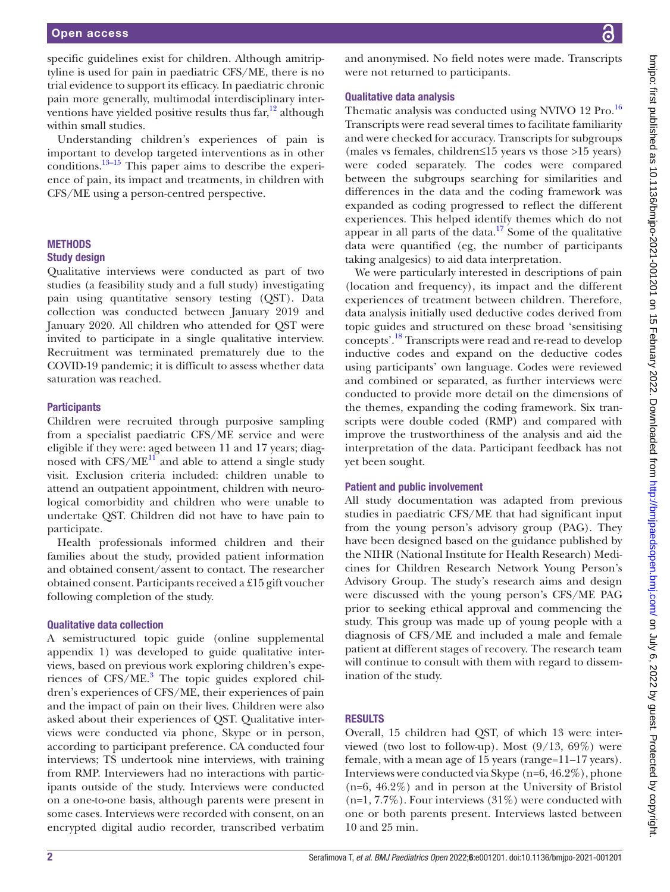specific guidelines exist for children. Although amitriptyline is used for pain in paediatric CFS/ME, there is no trial evidence to support its efficacy. In paediatric chronic pain more generally, multimodal interdisciplinary interventions have yielded positive results thus  $far<sup>12</sup>$  $far<sup>12</sup>$  $far<sup>12</sup>$  although within small studies.

Understanding children's experiences of pain is important to develop targeted interventions as in other conditions.<sup>13–15</sup> This paper aims to describe the experience of pain, its impact and treatments, in children with CFS/ME using a person-centred perspective.

#### **METHODS**

#### Study design

Qualitative interviews were conducted as part of two studies (a feasibility study and a full study) investigating pain using quantitative sensory testing (QST). Data collection was conducted between January 2019 and January 2020. All children who attended for QST were invited to participate in a single qualitative interview. Recruitment was terminated prematurely due to the COVID-19 pandemic; it is difficult to assess whether data saturation was reached.

#### **Participants**

Children were recruited through purposive sampling from a specialist paediatric CFS/ME service and were eligible if they were: aged between 11 and 17 years; diagnosed with  $CFS/ME^{11}$  and able to attend a single study visit. Exclusion criteria included: children unable to attend an outpatient appointment, children with neurological comorbidity and children who were unable to undertake QST. Children did not have to have pain to participate.

Health professionals informed children and their families about the study, provided patient information and obtained consent/assent to contact. The researcher obtained consent. Participants received a £15 gift voucher following completion of the study.

#### Qualitative data collection

A semistructured topic guide ([online supplemental](https://dx.doi.org/10.1136/bmjpo-2021-001201) [appendix 1](https://dx.doi.org/10.1136/bmjpo-2021-001201)) was developed to guide qualitative interviews, based on previous work exploring children's expe-riences of CFS/ME.<sup>[3](#page-6-2)</sup> The topic guides explored children's experiences of CFS/ME, their experiences of pain and the impact of pain on their lives. Children were also asked about their experiences of QST. Qualitative interviews were conducted via phone, Skype or in person, according to participant preference. CA conducted four interviews; TS undertook nine interviews, with training from RMP. Interviewers had no interactions with participants outside of the study. Interviews were conducted on a one-to-one basis, although parents were present in some cases. Interviews were recorded with consent, on an encrypted digital audio recorder, transcribed verbatim

and anonymised. No field notes were made. Transcripts were not returned to participants.

## Qualitative data analysis

Thematic analysis was conducted using NVIVO 12 Pro.<sup>16</sup> Transcripts were read several times to facilitate familiarity and were checked for accuracy. Transcripts for subgroups (males vs females, children≤15 years vs those >15 years) were coded separately. The codes were compared between the subgroups searching for similarities and differences in the data and the coding framework was expanded as coding progressed to reflect the different experiences. This helped identify themes which do not appear in all parts of the data. $17$  Some of the qualitative data were quantified (eg, the number of participants taking analgesics) to aid data interpretation.

We were particularly interested in descriptions of pain (location and frequency), its impact and the different experiences of treatment between children. Therefore, data analysis initially used deductive codes derived from topic guides and structured on these broad 'sensitising concepts'.[18](#page-7-9) Transcripts were read and re-read to develop inductive codes and expand on the deductive codes using participants' own language. Codes were reviewed and combined or separated, as further interviews were conducted to provide more detail on the dimensions of the themes, expanding the coding framework. Six transcripts were double coded (RMP) and compared with improve the trustworthiness of the analysis and aid the interpretation of the data. Participant feedback has not yet been sought.

#### Patient and public involvement

All study documentation was adapted from previous studies in paediatric CFS/ME that had significant input from the young person's advisory group (PAG). They have been designed based on the guidance published by the NIHR (National Institute for Health Research) Medicines for Children Research Network Young Person's Advisory Group. The study's research aims and design were discussed with the young person's CFS/ME PAG prior to seeking ethical approval and commencing the study. This group was made up of young people with a diagnosis of CFS/ME and included a male and female patient at different stages of recovery. The research team will continue to consult with them with regard to dissemination of the study.

#### RESULTS

Overall, 15 children had QST, of which 13 were interviewed (two lost to follow-up). Most  $(9/13, 69\%)$  were female, with a mean age of 15 years (range=11–17 years). Interviews were conducted via Skype (n=6, 46.2%), phone (n=6, 46.2%) and in person at the University of Bristol (n=1, 7.7%). Four interviews (31%) were conducted with one or both parents present. Interviews lasted between 10 and 25 min.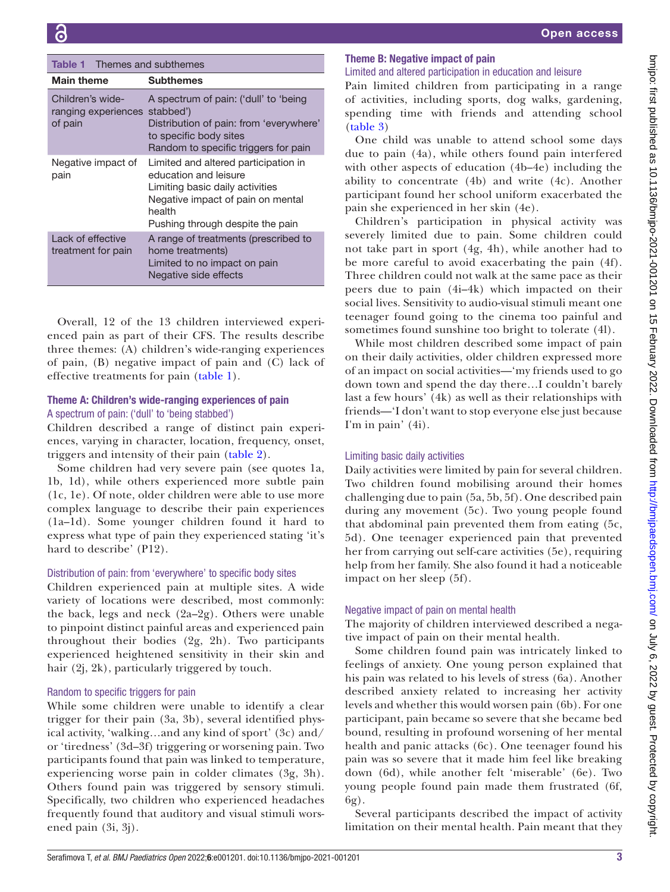<span id="page-2-0"></span>

| <b>Table 1</b> Themes and subthemes                |                                                                                                                                                                                     |  |
|----------------------------------------------------|-------------------------------------------------------------------------------------------------------------------------------------------------------------------------------------|--|
| <b>Main theme</b>                                  | <b>Subthemes</b>                                                                                                                                                                    |  |
| Children's wide-<br>ranging experiences<br>of pain | A spectrum of pain: ('dull' to 'being<br>stabbed')<br>Distribution of pain: from 'everywhere'<br>to specific body sites<br>Random to specific triggers for pain                     |  |
| Negative impact of<br>pain                         | Limited and altered participation in<br>education and leisure<br>Limiting basic daily activities<br>Negative impact of pain on mental<br>health<br>Pushing through despite the pain |  |
| Lack of effective<br>treatment for pain            | A range of treatments (prescribed to<br>home treatments)<br>Limited to no impact on pain<br>Negative side effects                                                                   |  |

Overall, 12 of the 13 children interviewed experienced pain as part of their CFS. The results describe three themes: (A) children's wide-ranging experiences of pain, (B) negative impact of pain and (C) lack of effective treatments for pain [\(table](#page-2-0) 1).

## Theme A: Children's wide-ranging experiences of pain A spectrum of pain: ('dull' to 'being stabbed')

Children described a range of distinct pain experiences, varying in character, location, frequency, onset, triggers and intensity of their pain [\(table](#page-3-0) 2).

Some children had very severe pain (see quotes 1a, 1b, 1d), while others experienced more subtle pain (1c, 1e). Of note, older children were able to use more complex language to describe their pain experiences (1a–1d). Some younger children found it hard to express what type of pain they experienced stating 'it's hard to describe' (P12).

## Distribution of pain: from 'everywhere' to specific body sites

Children experienced pain at multiple sites. A wide variety of locations were described, most commonly: the back, legs and neck (2a–2g). Others were unable to pinpoint distinct painful areas and experienced pain throughout their bodies (2g, 2h). Two participants experienced heightened sensitivity in their skin and hair (2j, 2k), particularly triggered by touch.

## Random to specific triggers for pain

While some children were unable to identify a clear trigger for their pain (3a, 3b), several identified physical activity, 'walking…and any kind of sport' (3c) and/ or 'tiredness' (3d–3f) triggering or worsening pain. Two participants found that pain was linked to temperature, experiencing worse pain in colder climates (3g, 3h). Others found pain was triggered by sensory stimuli. Specifically, two children who experienced headaches frequently found that auditory and visual stimuli worsened pain (3i, 3j).

## Theme B: Negative impact of pain

## Limited and altered participation in education and leisure

Pain limited children from participating in a range of activities, including sports, dog walks, gardening, spending time with friends and attending school [\(table](#page-4-0) 3)

One child was unable to attend school some days due to pain (4a), while others found pain interfered with other aspects of education (4b–4e) including the ability to concentrate (4b) and write (4c). Another participant found her school uniform exacerbated the pain she experienced in her skin (4e).

Children's participation in physical activity was severely limited due to pain. Some children could not take part in sport (4g, 4h), while another had to be more careful to avoid exacerbating the pain (4f). Three children could not walk at the same pace as their peers due to pain (4i–4k) which impacted on their social lives. Sensitivity to audio-visual stimuli meant one teenager found going to the cinema too painful and sometimes found sunshine too bright to tolerate (4l).

While most children described some impact of pain on their daily activities, older children expressed more of an impact on social activities—'my friends used to go down town and spend the day there…I couldn't barely last a few hours' (4k) as well as their relationships with friends—'I don't want to stop everyone else just because I'm in pain' (4i).

## Limiting basic daily activities

Daily activities were limited by pain for several children. Two children found mobilising around their homes challenging due to pain (5a, 5b, 5f). One described pain during any movement (5c). Two young people found that abdominal pain prevented them from eating (5c, 5d). One teenager experienced pain that prevented her from carrying out self-care activities (5e), requiring help from her family. She also found it had a noticeable impact on her sleep (5f).

## Negative impact of pain on mental health

The majority of children interviewed described a negative impact of pain on their mental health.

Some children found pain was intricately linked to feelings of anxiety. One young person explained that his pain was related to his levels of stress (6a). Another described anxiety related to increasing her activity levels and whether this would worsen pain (6b). For one participant, pain became so severe that she became bed bound, resulting in profound worsening of her mental health and panic attacks (6c). One teenager found his pain was so severe that it made him feel like breaking down (6d), while another felt 'miserable' (6e). Two young people found pain made them frustrated (6f, 6g).

Several participants described the impact of activity limitation on their mental health. Pain meant that they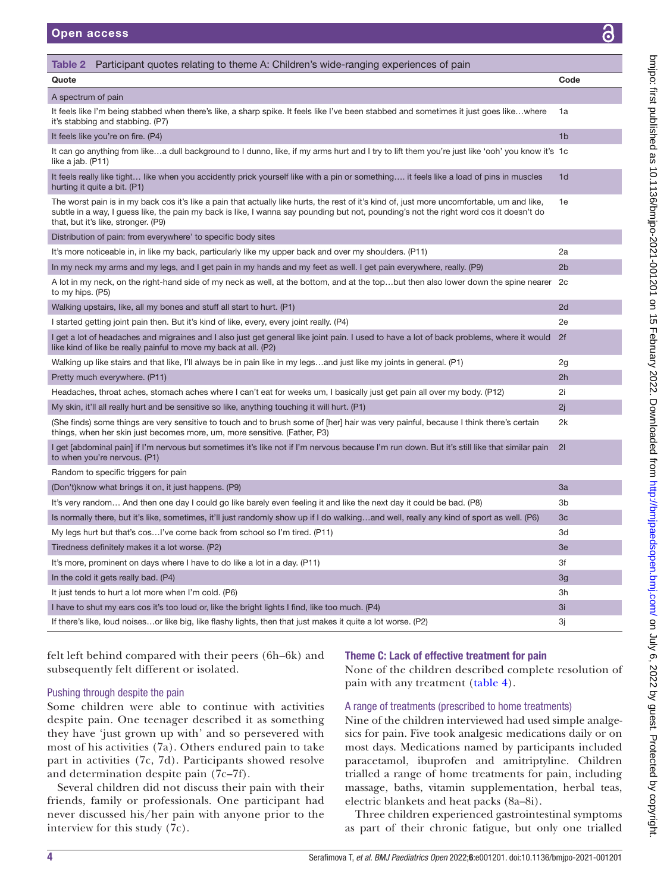<span id="page-3-0"></span>

| Participant quotes relating to theme A: Children's wide-ranging experiences of pain<br>Table 2                                                                                                                                                                                                                               |                |
|------------------------------------------------------------------------------------------------------------------------------------------------------------------------------------------------------------------------------------------------------------------------------------------------------------------------------|----------------|
| Quote                                                                                                                                                                                                                                                                                                                        | Code           |
| A spectrum of pain                                                                                                                                                                                                                                                                                                           |                |
| It feels like I'm being stabbed when there's like, a sharp spike. It feels like I've been stabbed and sometimes it just goes likewhere<br>it's stabbing and stabbing. (P7)                                                                                                                                                   | 1a             |
| It feels like you're on fire. (P4)                                                                                                                                                                                                                                                                                           | 1 <sub>b</sub> |
| It can go anything from likea dull background to I dunno, like, if my arms hurt and I try to lift them you're just like 'ooh' you know it's 1c<br>like a jab. (P11)                                                                                                                                                          |                |
| It feels really like tight like when you accidently prick yourself like with a pin or something it feels like a load of pins in muscles<br>hurting it quite a bit. (P1)                                                                                                                                                      | 1 <sub>d</sub> |
| The worst pain is in my back cos it's like a pain that actually like hurts, the rest of it's kind of, just more uncomfortable, um and like,<br>subtle in a way, I guess like, the pain my back is like, I wanna say pounding but not, pounding's not the right word cos it doesn't do<br>that, but it's like, stronger. (P9) | 1e             |
| Distribution of pain: from everywhere' to specific body sites                                                                                                                                                                                                                                                                |                |
| It's more noticeable in, in like my back, particularly like my upper back and over my shoulders. (P11)                                                                                                                                                                                                                       | 2a             |
| In my neck my arms and my legs, and I get pain in my hands and my feet as well. I get pain everywhere, really. (P9)                                                                                                                                                                                                          | 2 <sub>b</sub> |
| A lot in my neck, on the right-hand side of my neck as well, at the bottom, and at the topbut then also lower down the spine nearer 2c<br>to my hips. (P5)                                                                                                                                                                   |                |
| Walking upstairs, like, all my bones and stuff all start to hurt. (P1)                                                                                                                                                                                                                                                       | 2d             |
| I started getting joint pain then. But it's kind of like, every, every joint really. (P4)                                                                                                                                                                                                                                    | 2e             |
| I get a lot of headaches and migraines and I also just get general like joint pain. I used to have a lot of back problems, where it would<br>like kind of like be really painful to move my back at all. (P2)                                                                                                                | 2f             |
| Walking up like stairs and that like, I'll always be in pain like in my legsand just like my joints in general. (P1)                                                                                                                                                                                                         | 2g             |
| Pretty much everywhere. (P11)                                                                                                                                                                                                                                                                                                | 2h             |
| Headaches, throat aches, stomach aches where I can't eat for weeks um, I basically just get pain all over my body. (P12)                                                                                                                                                                                                     | 2i             |
| My skin, it'll all really hurt and be sensitive so like, anything touching it will hurt. (P1)                                                                                                                                                                                                                                | 2i             |
| (She finds) some things are very sensitive to touch and to brush some of [her] hair was very painful, because I think there's certain<br>things, when her skin just becomes more, um, more sensitive. (Father, P3)                                                                                                           | 2k             |
| I get [abdominal pain] if I'm nervous but sometimes it's like not if I'm nervous because I'm run down. But it's still like that similar pain<br>to when you're nervous. (P1)                                                                                                                                                 | 21             |
| Random to specific triggers for pain                                                                                                                                                                                                                                                                                         |                |
| (Don't) know what brings it on, it just happens. (P9)                                                                                                                                                                                                                                                                        | 3a             |
| It's very random And then one day I could go like barely even feeling it and like the next day it could be bad. (P8)                                                                                                                                                                                                         | 3b             |
| Is normally there, but it's like, sometimes, it'll just randomly show up if I do walkingand well, really any kind of sport as well. (P6)                                                                                                                                                                                     | 3 <sub>c</sub> |
| My legs hurt but that's cos I've come back from school so I'm tired. (P11)                                                                                                                                                                                                                                                   | 3d             |
| Tiredness definitely makes it a lot worse. (P2)                                                                                                                                                                                                                                                                              | 3e             |
| It's more, prominent on days where I have to do like a lot in a day. (P11)                                                                                                                                                                                                                                                   | 3f             |
| In the cold it gets really bad. (P4)                                                                                                                                                                                                                                                                                         | 3g             |
| It just tends to hurt a lot more when I'm cold. (P6)                                                                                                                                                                                                                                                                         | 3h             |
| I have to shut my ears cos it's too loud or, like the bright lights I find, like too much. (P4)                                                                                                                                                                                                                              | 3i             |
| If there's like, loud noisesor like big, like flashy lights, then that just makes it quite a lot worse. (P2)                                                                                                                                                                                                                 | Зj             |

felt left behind compared with their peers (6h–6k) and subsequently felt different or isolated.

## Pushing through despite the pain

Some children were able to continue with activities despite pain. One teenager described it as something they have 'just grown up with' and so persevered with most of his activities (7a). Others endured pain to take part in activities (7c, 7d). Participants showed resolve and determination despite pain (7c–7f).

Several children did not discuss their pain with their friends, family or professionals. One participant had never discussed his/her pain with anyone prior to the interview for this study (7c).

## Theme C: Lack of effective treatment for pain

None of the children described complete resolution of pain with any treatment [\(table](#page-5-0) 4).

## A range of treatments (prescribed to home treatments)

Nine of the children interviewed had used simple analgesics for pain. Five took analgesic medications daily or on most days. Medications named by participants included paracetamol, ibuprofen and amitriptyline. Children trialled a range of home treatments for pain, including massage, baths, vitamin supplementation, herbal teas, electric blankets and heat packs (8a–8i).

Three children experienced gastrointestinal symptoms as part of their chronic fatigue, but only one trialled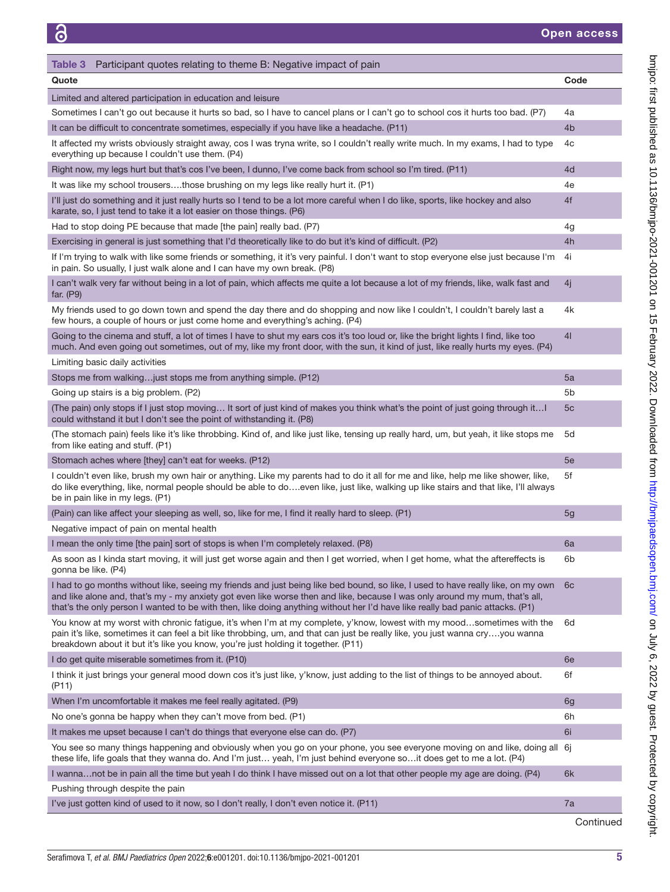<span id="page-4-0"></span>

| Participant quotes relating to theme B: Negative impact of pain<br>Table 3                                                                                                                                                                                                                                                                                                                       |                |
|--------------------------------------------------------------------------------------------------------------------------------------------------------------------------------------------------------------------------------------------------------------------------------------------------------------------------------------------------------------------------------------------------|----------------|
| Quote                                                                                                                                                                                                                                                                                                                                                                                            | Code           |
| Limited and altered participation in education and leisure                                                                                                                                                                                                                                                                                                                                       |                |
| Sometimes I can't go out because it hurts so bad, so I have to cancel plans or I can't go to school cos it hurts too bad. (P7)                                                                                                                                                                                                                                                                   | 4a             |
| It can be difficult to concentrate sometimes, especially if you have like a headache. (P11)                                                                                                                                                                                                                                                                                                      | 4 <sub>b</sub> |
| It affected my wrists obviously straight away, cos I was tryna write, so I couldn't really write much. In my exams, I had to type<br>everything up because I couldn't use them. (P4)                                                                                                                                                                                                             | 4c             |
| Right now, my legs hurt but that's cos I've been, I dunno, I've come back from school so I'm tired. (P11)                                                                                                                                                                                                                                                                                        | 4d             |
| It was like my school trousersthose brushing on my legs like really hurt it. (P1)                                                                                                                                                                                                                                                                                                                | 4e             |
| I'll just do something and it just really hurts so I tend to be a lot more careful when I do like, sports, like hockey and also<br>karate, so, I just tend to take it a lot easier on those things. (P6)                                                                                                                                                                                         | 4f             |
| Had to stop doing PE because that made [the pain] really bad. (P7)                                                                                                                                                                                                                                                                                                                               | 4g             |
| Exercising in general is just something that I'd theoretically like to do but it's kind of difficult. (P2)                                                                                                                                                                                                                                                                                       | 4h             |
| If I'm trying to walk with like some friends or something, it it's very painful. I don't want to stop everyone else just because I'm<br>in pain. So usually, I just walk alone and I can have my own break. (P8)                                                                                                                                                                                 | 4i             |
| I can't walk very far without being in a lot of pain, which affects me quite a lot because a lot of my friends, like, walk fast and<br>far. $(P9)$                                                                                                                                                                                                                                               | 4i             |
| My friends used to go down town and spend the day there and do shopping and now like I couldn't, I couldn't barely last a<br>few hours, a couple of hours or just come home and everything's aching. (P4)                                                                                                                                                                                        | 4k             |
| Going to the cinema and stuff, a lot of times I have to shut my ears cos it's too loud or, like the bright lights I find, like too<br>much. And even going out sometimes, out of my, like my front door, with the sun, it kind of just, like really hurts my eyes. (P4)                                                                                                                          | 41             |
| Limiting basic daily activities                                                                                                                                                                                                                                                                                                                                                                  |                |
| Stops me from walkingjust stops me from anything simple. (P12)                                                                                                                                                                                                                                                                                                                                   | 5a             |
| Going up stairs is a big problem. (P2)                                                                                                                                                                                                                                                                                                                                                           | 5b             |
| (The pain) only stops if I just stop moving It sort of just kind of makes you think what's the point of just going through it<br>could withstand it but I don't see the point of withstanding it. (P8)                                                                                                                                                                                           | 5c             |
| (The stomach pain) feels like it's like throbbing. Kind of, and like just like, tensing up really hard, um, but yeah, it like stops me<br>from like eating and stuff. (P1)                                                                                                                                                                                                                       | 5d             |
| Stomach aches where [they] can't eat for weeks. (P12)                                                                                                                                                                                                                                                                                                                                            | 5e             |
| I couldn't even like, brush my own hair or anything. Like my parents had to do it all for me and like, help me like shower, like,<br>do like everything, like, normal people should be able to doeven like, just like, walking up like stairs and that like, I'll always<br>be in pain like in my legs. (P1)                                                                                     | 5f             |
| (Pain) can like affect your sleeping as well, so, like for me, I find it really hard to sleep. (P1)                                                                                                                                                                                                                                                                                              | 5 <sub>g</sub> |
| Negative impact of pain on mental health                                                                                                                                                                                                                                                                                                                                                         |                |
| I mean the only time [the pain] sort of stops is when I'm completely relaxed. (P8)                                                                                                                                                                                                                                                                                                               | 6a             |
| As soon as I kinda start moving, it will just get worse again and then I get worried, when I get home, what the aftereffects is<br>gonna be like. (P4)                                                                                                                                                                                                                                           | 6b             |
| I had to go months without like, seeing my friends and just being like bed bound, so like, I used to have really like, on my own<br>and like alone and, that's my - my anxiety got even like worse then and like, because I was only around my mum, that's all,<br>that's the only person I wanted to be with then, like doing anything without her I'd have like really bad panic attacks. (P1) | 6 <sub>c</sub> |
| You know at my worst with chronic fatigue, it's when I'm at my complete, y'know, lowest with my moodsometimes with the<br>pain it's like, sometimes it can feel a bit like throbbing, um, and that can just be really like, you just wanna cryyou wanna<br>breakdown about it but it's like you know, you're just holding it together. (P11)                                                     | 6d             |
| I do get quite miserable sometimes from it. (P10)                                                                                                                                                                                                                                                                                                                                                | 6e             |
| I think it just brings your general mood down cos it's just like, y'know, just adding to the list of things to be annoyed about.<br>(P11)                                                                                                                                                                                                                                                        | 6f             |
| When I'm uncomfortable it makes me feel really agitated. (P9)                                                                                                                                                                                                                                                                                                                                    | 6g             |
| No one's gonna be happy when they can't move from bed. (P1)                                                                                                                                                                                                                                                                                                                                      | 6h             |
| It makes me upset because I can't do things that everyone else can do. (P7)                                                                                                                                                                                                                                                                                                                      | 6i             |
| You see so many things happening and obviously when you go on your phone, you see everyone moving on and like, doing all 6j<br>these life, life goals that they wanna do. And I'm just yeah, I'm just behind everyone soit does get to me a lot. (P4)                                                                                                                                            |                |
| I wannanot be in pain all the time but yeah I do think I have missed out on a lot that other people my age are doing. (P4)                                                                                                                                                                                                                                                                       | 6k             |
| Pushing through despite the pain                                                                                                                                                                                                                                                                                                                                                                 |                |
| I've just gotten kind of used to it now, so I don't really, I don't even notice it. (P11)                                                                                                                                                                                                                                                                                                        | 7a             |

**Continued** 

on July 11st published as 10.1136/bmjpo-2021-001 2012 bm 15 February 2022. Downloaded from http://bmm <http://bmjpaedsopen.bmj.com/> on July 6, 2022 by guest. Protected by copyright.

bmipo: first published as 10.1136/bmipo-2021-001201 on 15 February 2022. Downloaded from http://bmipaedsopen.bmj.com/ on July 6, 2022 by guest. Protected by copyright.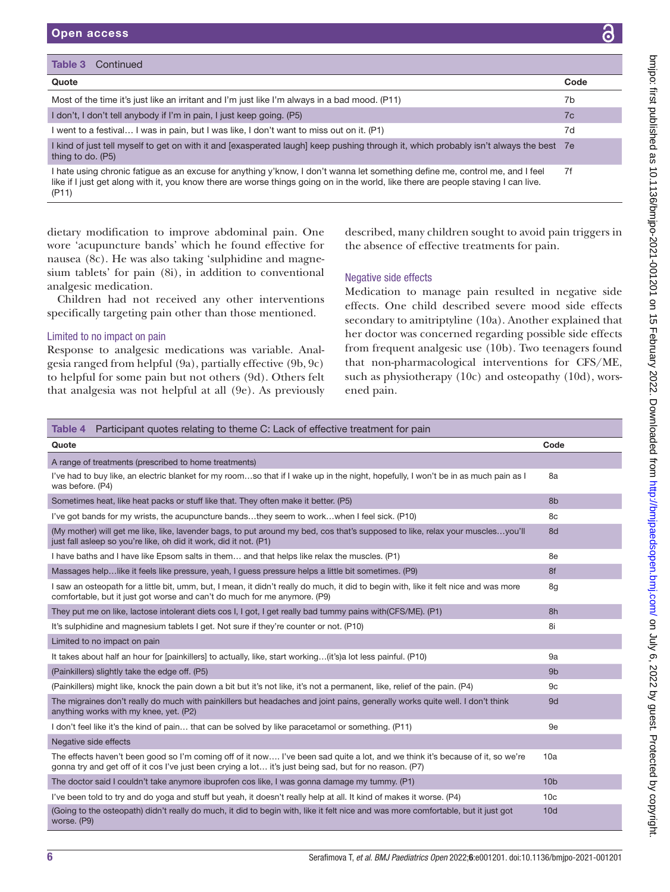| Quote                                                                                                                                                                                                                                                                       | Code |
|-----------------------------------------------------------------------------------------------------------------------------------------------------------------------------------------------------------------------------------------------------------------------------|------|
|                                                                                                                                                                                                                                                                             |      |
| Most of the time it's just like an irritant and I'm just like I'm always in a bad mood. (P11)                                                                                                                                                                               | 7b   |
| I don't, I don't tell anybody if I'm in pain, I just keep going. (P5)                                                                                                                                                                                                       | 7c   |
| l went to a festival I was in pain, but I was like, I don't want to miss out on it. (P1)                                                                                                                                                                                    | 7d   |
| I kind of just tell myself to get on with it and [exasperated laugh] keep pushing through it, which probably isn't always the best 7e<br>thing to do. (P5)                                                                                                                  |      |
| I hate using chronic fatigue as an excuse for anything y'know, I don't wanna let something define me, control me, and I feel<br>like if I just get along with it, you know there are worse things going on in the world, like there are people staving I can live.<br>(P11) | 7f   |

dietary modification to improve abdominal pain. One wore 'acupuncture bands' which he found effective for nausea (8c). He was also taking 'sulphidine and magnesium tablets' for pain (8i), in addition to conventional analgesic medication.

Children had not received any other interventions specifically targeting pain other than those mentioned.

## Limited to no impact on pain

Response to analgesic medications was variable. Analgesia ranged from helpful (9a), partially effective (9b, 9c) to helpful for some pain but not others (9d). Others felt that analgesia was not helpful at all (9e). As previously described, many children sought to avoid pain triggers in the absence of effective treatments for pain.

## Negative side effects

Medication to manage pain resulted in negative side effects. One child described severe mood side effects secondary to amitriptyline (10a). Another explained that her doctor was concerned regarding possible side effects from frequent analgesic use (10b). Two teenagers found that non-pharmacological interventions for CFS/ME, such as physiotherapy (10c) and osteopathy (10d), worsened pain.

## <span id="page-5-0"></span>Table 4 Participant quotes relating to theme C: Lack of effective treatment for pain

| Quote                                                                                                                                                                                                                                      | Code            |
|--------------------------------------------------------------------------------------------------------------------------------------------------------------------------------------------------------------------------------------------|-----------------|
| A range of treatments (prescribed to home treatments)                                                                                                                                                                                      |                 |
| I've had to buy like, an electric blanket for my roomso that if I wake up in the night, hopefully, I won't be in as much pain as I<br>was before. (P4)                                                                                     | 8a              |
| Sometimes heat, like heat packs or stuff like that. They often make it better. (P5)                                                                                                                                                        | 8b              |
| I've got bands for my wrists, the acupuncture bandsthey seem to workwhen I feel sick. (P10)                                                                                                                                                | 8c              |
| (My mother) will get me like, like, lavender bags, to put around my bed, cos that's supposed to like, relax your musclesyou'll<br>just fall asleep so you're like, oh did it work, did it not. (P1)                                        | 8d              |
| I have baths and I have like Epsom salts in them and that helps like relax the muscles. (P1)                                                                                                                                               | 8e              |
| Massages helplike it feels like pressure, yeah, I guess pressure helps a little bit sometimes. (P9)                                                                                                                                        | 8f              |
| I saw an osteopath for a little bit, umm, but, I mean, it didn't really do much, it did to begin with, like it felt nice and was more<br>comfortable, but it just got worse and can't do much for me anymore. (P9)                         | 8g              |
| They put me on like, lactose intolerant diets cos I, I got, I get really bad tummy pains with (CFS/ME). (P1)                                                                                                                               | 8h              |
| It's sulphidine and magnesium tablets I get. Not sure if they're counter or not. (P10)                                                                                                                                                     | 8i              |
| Limited to no impact on pain                                                                                                                                                                                                               |                 |
| It takes about half an hour for [painkillers] to actually, like, start working(it's)a lot less painful. (P10)                                                                                                                              | 9a              |
| (Painkillers) slightly take the edge off. (P5)                                                                                                                                                                                             | 9 <sub>b</sub>  |
| (Painkillers) might like, knock the pain down a bit but it's not like, it's not a permanent, like, relief of the pain. (P4)                                                                                                                | 9c              |
| The migraines don't really do much with painkillers but headaches and joint pains, generally works quite well. I don't think<br>anything works with my knee, yet. (P2)                                                                     | 9d              |
| I don't feel like it's the kind of pain that can be solved by like paracetamol or something. (P11)                                                                                                                                         | 9e              |
| Negative side effects                                                                                                                                                                                                                      |                 |
| The effects haven't been good so I'm coming off of it now I've been sad quite a lot, and we think it's because of it, so we're<br>gonna try and get off of it cos I've just been crying a lot it's just being sad, but for no reason. (P7) | 10a             |
| The doctor said I couldn't take anymore ibuprofen cos like, I was gonna damage my tummy. (P1)                                                                                                                                              | 10 <sub>b</sub> |
| l've been told to try and do yoga and stuff but yeah, it doesn't really help at all. It kind of makes it worse, (P4)                                                                                                                       | 10 <sub>c</sub> |
| (Going to the osteopath) didn't really do much, it did to begin with, like it felt nice and was more comfortable, but it just got<br>worse. (P9)                                                                                           | 10d             |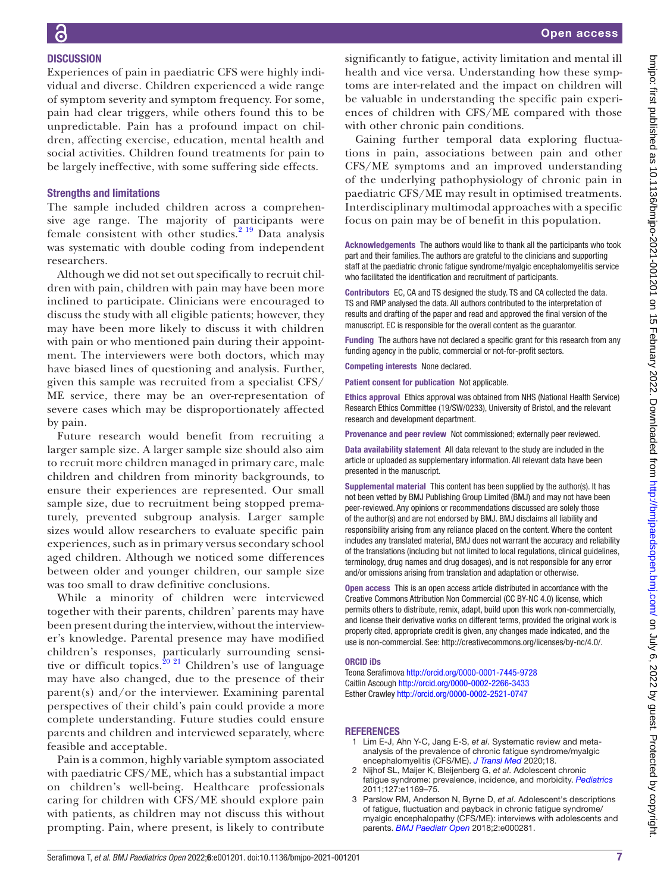# **DISCUSSION** Experiences of pain in paediatric CFS were highly indi-

vidual and diverse. Children experienced a wide range of symptom severity and symptom frequency. For some, pain had clear triggers, while others found this to be unpredictable. Pain has a profound impact on children, affecting exercise, education, mental health and social activities. Children found treatments for pain to be largely ineffective, with some suffering side effects.

## Strengths and limitations

The sample included children across a comprehensive age range. The majority of participants were female consistent with other studies.<sup>2</sup> <sup>19</sup> Data analysis was systematic with double coding from independent researchers.

Although we did not set out specifically to recruit children with pain, children with pain may have been more inclined to participate. Clinicians were encouraged to discuss the study with all eligible patients; however, they may have been more likely to discuss it with children with pain or who mentioned pain during their appointment. The interviewers were both doctors, which may have biased lines of questioning and analysis. Further, given this sample was recruited from a specialist CFS/ ME service, there may be an over-representation of severe cases which may be disproportionately affected by pain.

Future research would benefit from recruiting a larger sample size. A larger sample size should also aim to recruit more children managed in primary care, male children and children from minority backgrounds, to ensure their experiences are represented. Our small sample size, due to recruitment being stopped prematurely, prevented subgroup analysis. Larger sample sizes would allow researchers to evaluate specific pain experiences, such as in primary versus secondary school aged children. Although we noticed some differences between older and younger children, our sample size was too small to draw definitive conclusions.

While a minority of children were interviewed together with their parents, children' parents may have been present during the interview, without the interviewer's knowledge. Parental presence may have modified children's responses, particularly surrounding sensi-tive or difficult topics.<sup>[20 21](#page-7-10)</sup> Children's use of language may have also changed, due to the presence of their parent(s) and/or the interviewer. Examining parental perspectives of their child's pain could provide a more complete understanding. Future studies could ensure parents and children and interviewed separately, where feasible and acceptable.

Pain is a common, highly variable symptom associated with paediatric CFS/ME, which has a substantial impact on children's well-being. Healthcare professionals caring for children with CFS/ME should explore pain with patients, as children may not discuss this without prompting. Pain, where present, is likely to contribute

significantly to fatigue, activity limitation and mental ill health and vice versa. Understanding how these symptoms are inter-related and the impact on children will be valuable in understanding the specific pain experiences of children with CFS/ME compared with those with other chronic pain conditions.

Gaining further temporal data exploring fluctuations in pain, associations between pain and other CFS/ME symptoms and an improved understanding of the underlying pathophysiology of chronic pain in paediatric CFS/ME may result in optimised treatments. Interdisciplinary multimodal approaches with a specific focus on pain may be of benefit in this population.

Acknowledgements The authors would like to thank all the participants who took part and their families. The authors are grateful to the clinicians and supporting staff at the paediatric chronic fatigue syndrome/myalgic encephalomyelitis service who facilitated the identification and recruitment of participants.

Contributors EC, CA and TS designed the study. TS and CA collected the data. TS and RMP analysed the data. All authors contributed to the interpretation of results and drafting of the paper and read and approved the final version of the manuscript. EC is responsible for the overall content as the guarantor.

Funding The authors have not declared a specific grant for this research from any funding agency in the public, commercial or not-for-profit sectors.

Competing interests None declared.

Patient consent for publication Not applicable.

Ethics approval Ethics approval was obtained from NHS (National Health Service) Research Ethics Committee (19/SW/0233), University of Bristol, and the relevant research and development department.

Provenance and peer review Not commissioned; externally peer reviewed.

Data availability statement All data relevant to the study are included in the article or uploaded as supplementary information. All relevant data have been presented in the manuscript.

Supplemental material This content has been supplied by the author(s). It has not been vetted by BMJ Publishing Group Limited (BMJ) and may not have been peer-reviewed. Any opinions or recommendations discussed are solely those of the author(s) and are not endorsed by BMJ. BMJ disclaims all liability and responsibility arising from any reliance placed on the content. Where the content includes any translated material, BMJ does not warrant the accuracy and reliability of the translations (including but not limited to local regulations, clinical guidelines, terminology, drug names and drug dosages), and is not responsible for any error and/or omissions arising from translation and adaptation or otherwise.

Open access This is an open access article distributed in accordance with the Creative Commons Attribution Non Commercial (CC BY-NC 4.0) license, which permits others to distribute, remix, adapt, build upon this work non-commercially, and license their derivative works on different terms, provided the original work is properly cited, appropriate credit is given, any changes made indicated, and the use is non-commercial. See: <http://creativecommons.org/licenses/by-nc/4.0/>.

## ORCID iDs

Teona Serafimova <http://orcid.org/0000-0001-7445-9728> Caitlin Ascough<http://orcid.org/0000-0002-2266-3433> Esther Crawley<http://orcid.org/0000-0002-2521-0747>

## **REFERENCES**

- <span id="page-6-0"></span>1 Lim E-J, Ahn Y-C, Jang E-S, *et al*. Systematic review and metaanalysis of the prevalence of chronic fatigue syndrome/myalgic encephalomyelitis (CFS/ME). *[J Transl Med](http://dx.doi.org/10.1186/s12967-020-02269-0)* 2020;18.
- <span id="page-6-1"></span>2 Nijhof SL, Maijer K, Bleijenberg G, *et al*. Adolescent chronic fatigue syndrome: prevalence, incidence, and morbidity. *[Pediatrics](http://dx.doi.org/10.1542/peds.2010-1147)* 2011;127:e1169–75.
- <span id="page-6-2"></span>3 Parslow RM, Anderson N, Byrne D, *et al*. Adolescent's descriptions of fatigue, fluctuation and payback in chronic fatigue syndrome/ myalgic encephalopathy (CFS/ME): interviews with adolescents and parents. *[BMJ Paediatr Open](http://dx.doi.org/10.1136/bmjpo-2018-000281)* 2018;2:e000281.